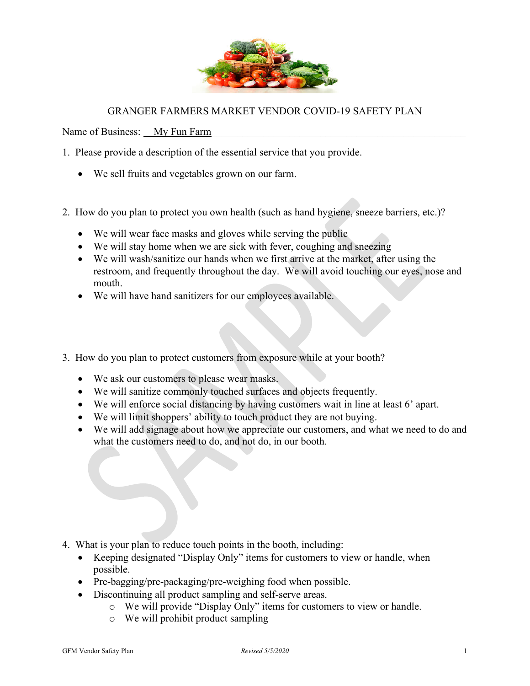

## GRANGER FARMERS MARKET VENDOR COVID-19 SAFETY PLAN

Name of Business: My Fun Farm

- 1. Please provide a description of the essential service that you provide.
	- We sell fruits and vegetables grown on our farm.
- 2. How do you plan to protect you own health (such as hand hygiene, sneeze barriers, etc.)?
	- We will wear face masks and gloves while serving the public
	- We will stay home when we are sick with fever, coughing and sneezing
	- We will wash/sanitize our hands when we first arrive at the market, after using the restroom, and frequently throughout the day. We will avoid touching our eyes, nose and mouth.
	- We will have hand sanitizers for our employees available.
- 3. How do you plan to protect customers from exposure while at your booth?
	- We ask our customers to please wear masks.
	- We will sanitize commonly touched surfaces and objects frequently.
	- We will enforce social distancing by having customers wait in line at least 6' apart.
	- We will limit shoppers' ability to touch product they are not buying.
	- We will add signage about how we appreciate our customers, and what we need to do and what the customers need to do, and not do, in our booth.

- 4. What is your plan to reduce touch points in the booth, including:
	- Keeping designated "Display Only" items for customers to view or handle, when possible.
	- Pre-bagging/pre-packaging/pre-weighing food when possible.
	- Discontinuing all product sampling and self-serve areas.
		- o We will provide "Display Only" items for customers to view or handle.
		- o We will prohibit product sampling